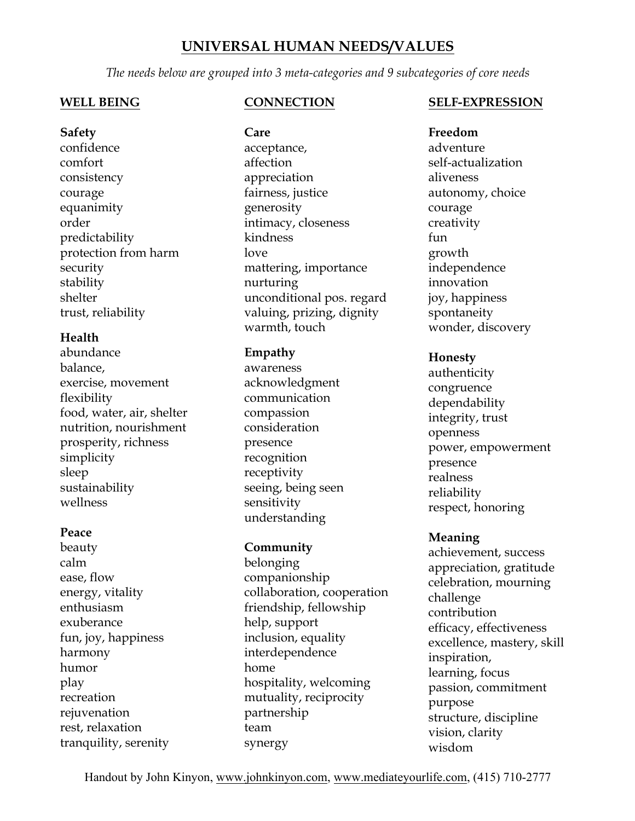# **UNIVERSAL HUMAN NEEDS/VALUES**

*The needs below are grouped into 3 meta-categories and 9 subcategories of core needs*

#### **WELL BEING**

**Safety** confidence comfort consistency courage equanimity order predictability protection from harm security stability shelter trust, reliability

### **Health**

abundance balance, exercise, movement flexibility food, water, air, shelter nutrition, nourishment prosperity, richness simplicity sleep sustainability wellness

#### **Peace**

beauty calm ease, flow energy, vitality enthusiasm exuberance fun, joy, happiness harmony humor play recreation rejuvenation rest, relaxation tranquility, serenity

## **CONNECTION**

**Care** acceptance, affection appreciation fairness, justice generosity intimacy, closeness kindness love mattering, importance nurturing unconditional pos. regard valuing, prizing, dignity warmth, touch

#### **Empathy**

awareness acknowledgment communication compassion consideration presence recognition receptivity seeing, being seen sensitivity understanding

### **Community**

belonging companionship collaboration, cooperation friendship, fellowship help, support inclusion, equality interdependence home hospitality, welcoming mutuality, reciprocity partnership team synergy

### **SELF-EXPRESSION**

**Freedom** adventure self-actualization aliveness autonomy, choice courage creativity fun growth independence innovation joy, happiness spontaneity wonder, discovery

#### **Honesty**

authenticity congruence dependability integrity, trust openness power, empowerment presence realness reliability respect, honoring

### **Meaning**

achievement, success appreciation, gratitude celebration, mourning challenge contribution efficacy, effectiveness excellence, mastery, skill inspiration, learning, focus passion, commitment purpose structure, discipline vision, clarity wisdom